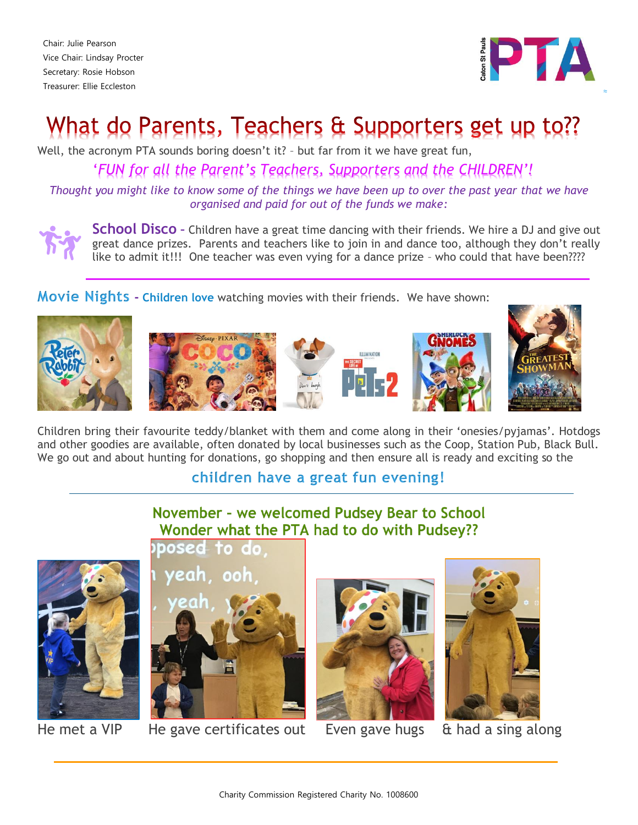Chair: Julie Pearson Vice Chair: Lindsay Procter Secretary: Rosie Hobson Treasurer: Ellie Eccleston



≈

# What do Parents, Teachers & Supporters get up to??

Well, the acronym PTA sounds boring doesn't it? – but far from it we have great fun,

'*FUN for all the Parent's Teachers, Supporters and the CHILDREN'!*

*Thought you might like to know some of the things we have been up to over the past year that we have organised and paid for out of the funds we make:*



**School Disco –** Children have a great time dancing with their friends. We hire a DJ and give out great dance prizes. Parents and teachers like to join in and dance too, although they don't really like to admit it!!! One teacher was even vying for a dance prize – who could that have been????

**Movie Nights - Children love** watching movies with their friends. We have shown:











Children bring their favourite teddy/blanket with them and come along in their 'onesies/pyjamas'. Hotdogs and other goodies are available, often donated by local businesses such as the Coop, Station Pub, Black Bull. We go out and about hunting for donations, go shopping and then ensure all is ready and exciting so the

## **children have a great fun evening!**

## November - we welcomed Pudsey Bear to School Wonder what the PTA had to do with Pudsey??





He met a VIP He gave certificates out Even gave hugs & had a sing along



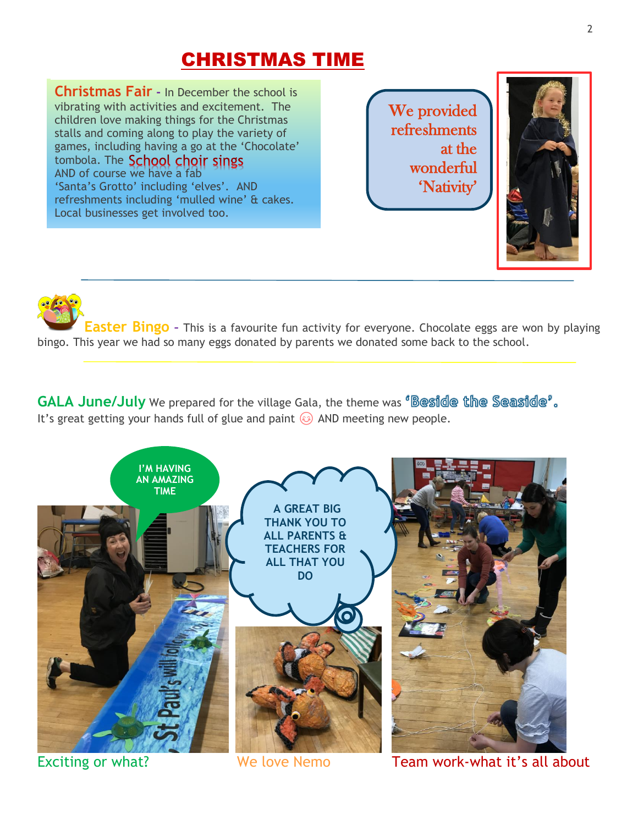## CHRISTMAS TIME

**Christmas Fair -** In December the school is vibrating with activities and excitement. The children love making things for the Christmas stalls and coming along to play the variety of games, including having a go at the 'Chocolate' tombola. The School choir sings AND of course we have a fab 'Santa's Grotto' including 'elves'. AND refreshments including 'mulled wine' & cakes. Local businesses get involved too.

We provided refreshments at the wonderful 'Nativity'



**Easter Bingo –** This is a favourite fun activity for everyone. Chocolate eggs are won by playing bingo. This year we had so many eggs donated by parents we donated some back to the school.

**GALA June/July** We prepared for the village Gala, the theme was <sup>*Beside* the Seaside'.</sup> It's great getting your hands full of glue and paint  $\circledast$  AND meeting new people.



Exciting or what? We love Nemo Team work-what it's all about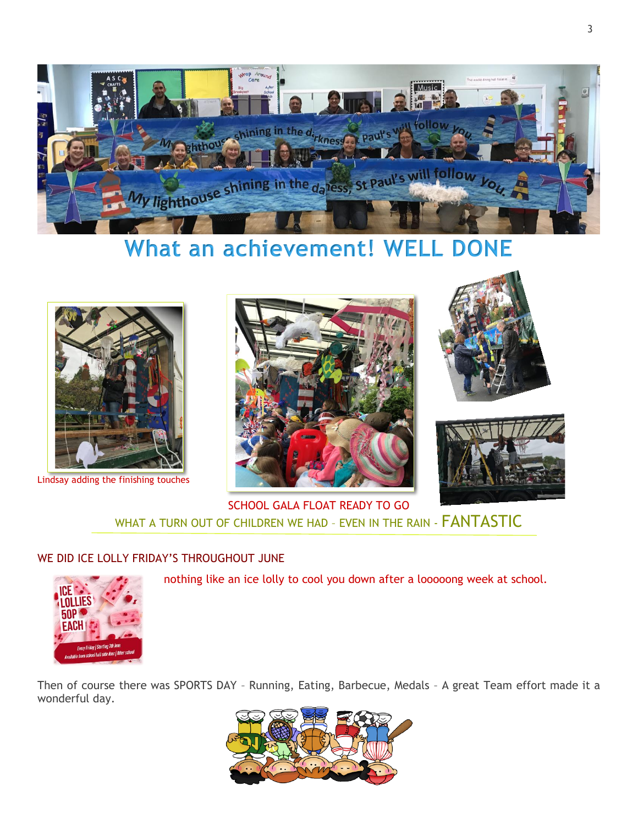

## **What an achievement! WELL DONE**



Lindsay adding the finishing touches







SCHOOL GALA FLOAT READY TO GO WHAT A TURN OUT OF CHILDREN WE HAD - EVEN IN THE RAIN - **FANTASTIC** 

### WE DID ICE LOLLY FRIDAY'S THROUGHOUT JUNE



nothing like an ice lolly to cool you down after a looooong week at school.

Then of course there was SPORTS DAY – Running, Eating, Barbecue, Medals – A great Team effort made it a wonderful day.